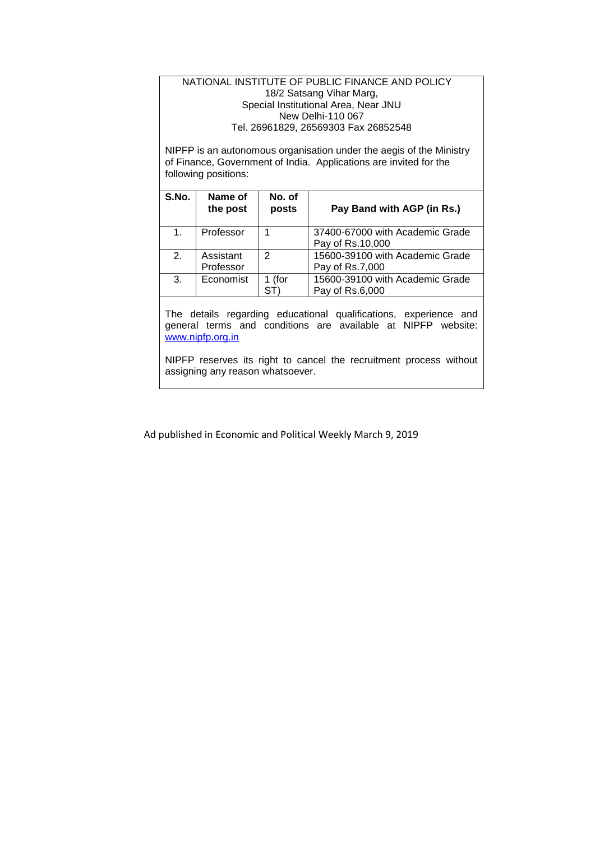#### NATIONAL INSTITUTE OF PUBLIC FINANCE AND POLICY 18/2 Satsang Vihar Marg, Special Institutional Area, Near JNU New Delhi-110 067 Tel. 26961829, 26569303 Fax 26852548

NIPFP is an autonomous organisation under the aegis of the Ministry of Finance, Government of India. Applications are invited for the following positions:

| S.No. | Name of<br>the post    | No. of<br>posts | Pay Band with AGP (in Rs.)                          |
|-------|------------------------|-----------------|-----------------------------------------------------|
| 1.    | Professor              |                 | 37400-67000 with Academic Grade<br>Pay of Rs.10,000 |
| 2.    | Assistant<br>Professor | 2               | 15600-39100 with Academic Grade<br>Pay of Rs.7,000  |
| 3.    | Economist              | 1 (for          | 15600-39100 with Academic Grade<br>Pay of Rs.6,000  |

The details regarding educational qualifications, experience and general terms and conditions are available at NIPFP website: [www.nipfp.org.in](http://www.nipfp.org.in/)

NIPFP reserves its right to cancel the recruitment process without assigning any reason whatsoever.

Ad published in Economic and Political Weekly March 9, 2019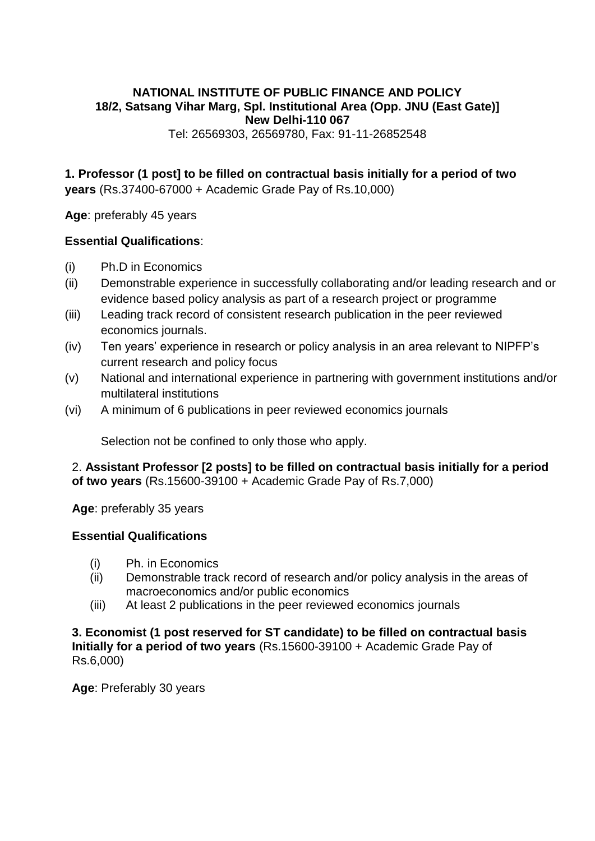# **NATIONAL INSTITUTE OF PUBLIC FINANCE AND POLICY 18/2, Satsang Vihar Marg, Spl. Institutional Area (Opp. JNU (East Gate)] New Delhi-110 067**

Tel: 26569303, 26569780, Fax: 91-11-26852548

**1. Professor (1 post] to be filled on contractual basis initially for a period of two years** (Rs.37400-67000 + Academic Grade Pay of Rs.10,000)

**Age**: preferably 45 years

### **Essential Qualifications**:

- (i) Ph.D in Economics
- (ii) Demonstrable experience in successfully collaborating and/or leading research and or evidence based policy analysis as part of a research project or programme
- (iii) Leading track record of consistent research publication in the peer reviewed economics journals.
- (iv) Ten years' experience in research or policy analysis in an area relevant to NIPFP's current research and policy focus
- (v) National and international experience in partnering with government institutions and/or multilateral institutions
- (vi) A minimum of 6 publications in peer reviewed economics journals

Selection not be confined to only those who apply.

2. **Assistant Professor [2 posts] to be filled on contractual basis initially for a period of two years** (Rs.15600-39100 + Academic Grade Pay of Rs.7,000)

**Age**: preferably 35 years

### **Essential Qualifications**

- (i) Ph. in Economics
- (ii) Demonstrable track record of research and/or policy analysis in the areas of macroeconomics and/or public economics
- (iii) At least 2 publications in the peer reviewed economics journals

**3. Economist (1 post reserved for ST candidate) to be filled on contractual basis Initially for a period of two years** (Rs.15600-39100 + Academic Grade Pay of Rs.6,000)

**Age**: Preferably 30 years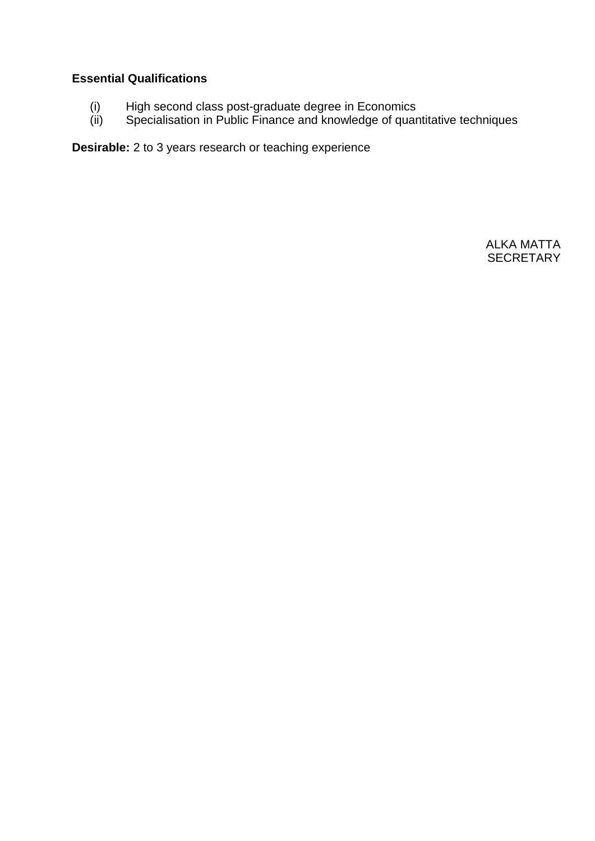# **Essential Qualifications**

- (i) High second class post-graduate degree in Economics
- (ii) Specialisation in Public Finance and knowledge of quantitative techniques

**Desirable:** 2 to 3 years research or teaching experience

ALKA MATTA **SECRETARY**